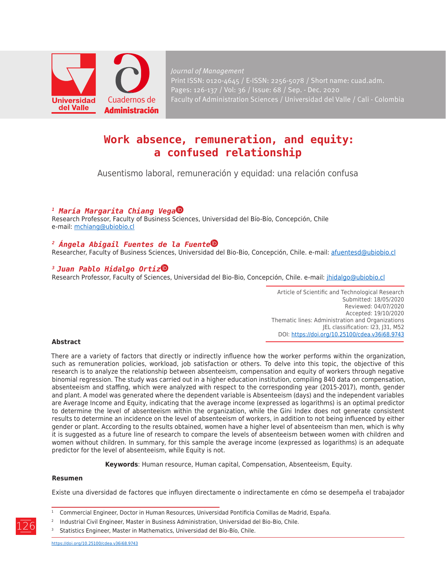

*Journal of Management* Print ISSN: 0120-4645 / E-ISSN: 2256-5078 / Short name: cuad.adm. Pages: 126-137 / Vol: 36 / Issue: 68 / Sep. - Dec. 2020

# **Work absence, remuneration, and equity: a confused relationship**

Ausentismo laboral, remuneración y equidad: una relación confusa

#### *1 María Margarita Chiang Veg[a](https://orcid.org/0000-0003-3093-7892
)*

Research Professor, Faculty of Business Sciences, Universidad del Bío-Bío, Concepción, Chile e-mail: [mchiang@ubiobio.cl](mailto:mchiang%40ubiobio.cl?subject=) 

#### *2 Ángela Abigail Fuentes de la Fuent[e](https://orcid.org/0000-0003-1699-0726)*

Researcher, Faculty of Business Sciences, Universidad del Bio-Bio, Concepción, Chile. e-mail: [afuentesd@ubiobio.cl](mailto:afuentesd%40ubiobio.cl?subject=)

#### *3 Juan Pablo Hidalgo Orti[z](https://orcid.org/0000-0001-7621-6068)*

Research Professor, Faculty of Sciences, Universidad del Bio-Bio, Concepción, Chile. e-mail: jhidalgo@ubiobio.cl

Article of Scientific and Technological Research Submitted: 18/05/2020 Reviewed: 04/07/2020 Accepted: 19/10/2020 Thematic lines: Administration and Organizations JEL classification: I23, J31, M52 DOI: https://doi.org/10.25100/cdea.v36i68.9743

#### **Abstract**

There are a variety of factors that directly or indirectly influence how the worker performs within the organization, such as remuneration policies, workload, job satisfaction or others. To delve into this topic, the objective of this research is to analyze the relationship between absenteeism, compensation and equity of workers through negative binomial regression. The study was carried out in a higher education institution, compiling 840 data on compensation, absenteeism and staffing, which were analyzed with respect to the corresponding year (2015-2017), month, gender and plant. A model was generated where the dependent variable is Absenteeism (days) and the independent variables are Average Income and Equity, indicating that the average income (expressed as logarithms) is an optimal predictor to determine the level of absenteeism within the organization, while the Gini Index does not generate consistent results to determine an incidence on the level of absenteeism of workers, in addition to not being influenced by either gender or plant. According to the results obtained, women have a higher level of absenteeism than men, which is why it is suggested as a future line of research to compare the levels of absenteeism between women with children and women without children. In summary, for this sample the average income (expressed as logarithms) is an adequate predictor for the level of absenteeism, while Equity is not.

**Keywords**: Human resource, Human capital, Compensation, Absenteeism, Equity.

#### **Resumen**

126

Existe una diversidad de factores que influyen directamente o indirectamente en cómo se desempeña el trabajador

<sup>3</sup> Statistics Engineer, Master in Mathematics, Universidad del Bío-Bío, Chile.

<sup>&</sup>lt;sup>1</sup> Commercial Engineer, Doctor in Human Resources, Universidad Pontificia Comillas de Madrid, España.

<sup>2</sup> Industrial Civil Engineer, Master in Business Administration, Universidad del Bio-Bio, Chile.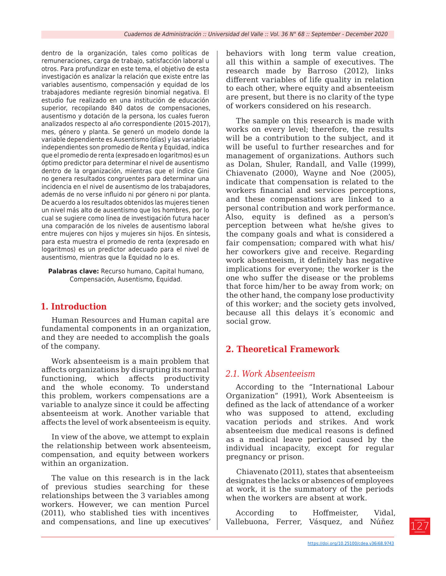dentro de la organización, tales como políticas de remuneraciones, carga de trabajo, satisfacción laboral u otros. Para profundizar en este tema, el objetivo de esta investigación es analizar la relación que existe entre las variables ausentismo, compensación y equidad de los trabajadores mediante regresión binomial negativa. El estudio fue realizado en una institución de educación superior, recopilando 840 datos de compensaciones, ausentismo y dotación de la persona, los cuales fueron analizados respecto al año correspondiente (2015-2017), mes, género y planta. Se generó un modelo donde la variable dependiente es Ausentismo (días) y las variables independientes son promedio de Renta y Equidad, indica que el promedio de renta (expresado en logaritmos) es un óptimo predictor para determinar el nivel de ausentismo dentro de la organización, mientras que el índice Gini no genera resultados congruentes para determinar una incidencia en el nivel de ausentismo de los trabajadores, además de no verse influido ni por género ni por planta. De acuerdo a los resultados obtenidos las mujeres tienen un nivel más alto de ausentismo que los hombres, por lo cual se sugiere como línea de investigación futura hacer una comparación de los niveles de ausentismo laboral entre mujeres con hijos y mujeres sin hijos. En síntesis, para esta muestra el promedio de renta (expresado en logaritmos) es un predictor adecuado para el nivel de ausentismo, mientras que la Equidad no lo es.

**Palabras clave:** Recurso humano, Capital humano, Compensación, Ausentismo, Equidad.

# **1. Introduction**

Human Resources and Human capital are fundamental components in an organization, and they are needed to accomplish the goals of the company.

Work absenteeism is a main problem that affects organizations by disrupting its normal functioning, which affects productivity and the whole economy. To understand this problem, workers compensations are a variable to analyze since it could be affecting absenteeism at work. Another variable that affects the level of work absenteeism is equity.

In view of the above, we attempt to explain the relationship between work absenteeism, compensation, and equity between workers within an organization.

The value on this research is in the lack of previous studies searching for these relationships between the 3 variables among workers. However, we can mention Purcel (2011), who stablished ties with incentives and compensations, and line up executives' behaviors with long term value creation, all this within a sample of executives. The research made by Barroso (2012), links different variables of life quality in relation to each other, where equity and absenteeism are present, but there is no clarity of the type of workers considered on his research.

The sample on this research is made with works on every level; therefore, the results will be a contribution to the subject, and it will be useful to further researches and for management of organizations. Authors such as Dolan, Shuler, Randall, and Valle (1999), Chiavenato (2000), Wayne and Noe (2005), indicate that compensation is related to the workers financial and services perceptions, and these compensations are linked to a personal contribution and work performance. Also, equity is defined as a person's perception between what he/she gives to the company goals and what is considered a fair compensation; compared with what his/ her coworkers give and receive. Regarding work absenteeism, it definitely has negative implications for everyone; the worker is the one who suffer the disease or the problems that force him/her to be away from work; on the other hand, the company lose productivity of this worker; and the society gets involved, because all this delays it´s economic and social grow.

# **2. Theoretical Framework**

# *2.1. Work Absenteeism*

According to the "International Labour Organization" (1991), Work Absenteeism is defined as the lack of attendance of a worker who was supposed to attend, excluding vacation periods and strikes. And work absenteeism due medical reasons is defined as a medical leave period caused by the individual incapacity, except for regular pregnancy or prison.

Chiavenato (2011), states that absenteeism designates the lacks or absences of employees at work, it is the summatory of the periods when the workers are absent at work.

According to Hoffmeister, Vidal, Vallebuona, Ferrer, Vásquez, and Núñez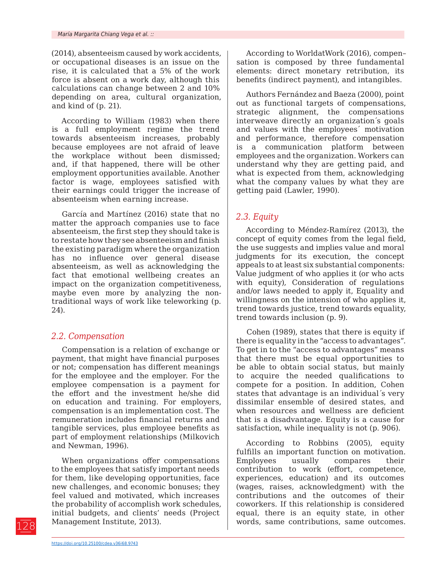(2014), absenteeism caused by work accidents, or occupational diseases is an issue on the rise, it is calculated that a 5% of the work force is absent on a work day, although this calculations can change between 2 and 10% depending on area, cultural organization, and kind of (p. 21).

According to William (1983) when there is a full employment regime the trend towards absenteeism increases, probably because employees are not afraid of leave the workplace without been dismissed; and, if that happened, there will be other employment opportunities available. Another factor is wage, employees satisfied with their earnings could trigger the increase of absenteeism when earning increase.

García and Martínez (2016) state that no matter the approach companies use to face absenteeism, the first step they should take is to restate how they see absenteeism and finish the existing paradigm where the organization has no influence over general disease absenteeism, as well as acknowledging the fact that emotional wellbeing creates an impact on the organization competitiveness, maybe even more by analyzing the nontraditional ways of work like teleworking (p. 24).

# *2.2. Compensation*

Compensation is a relation of exchange or payment, that might have financial purposes or not; compensation has different meanings for the employee and the employer. For the employee compensation is a payment for the effort and the investment he/she did on education and training. For employers, compensation is an implementation cost. The remuneration includes financial returns and tangible services, plus employee benefits as part of employment relationships (Milkovich and Newman, 1996).

When organizations offer compensations to the employees that satisfy important needs for them, like developing opportunities, face new challenges, and economic bonuses; they feel valued and motivated, which increases the probability of accomplish work schedules, initial budgets, and clients' needs (Project Management Institute, 2013).

According to WorldatWork (2016), compen– sation is composed by three fundamental elements: direct monetary retribution, its benefits (indirect payment), and intangibles.

Authors Fernández and Baeza (2000), point out as functional targets of compensations, strategic alignment, the compensations interweave directly an organization´s goals and values with the employees´ motivation and performance, therefore compensation is a communication platform between employees and the organization. Workers can understand why they are getting paid, and what is expected from them, acknowledging what the company values by what they are getting paid (Lawler, 1990).

# *2.3. Equity*

According to Méndez-Ramírez (2013), the concept of equity comes from the legal field, the use suggests and implies value and moral judgments for its execution, the concept appeals to at least six substantial components: Value judgment of who applies it (or who acts with equity), Consideration of regulations and/or laws needed to apply it, Equality and willingness on the intension of who applies it, trend towards justice, trend towards equality, trend towards inclusion (p. 9).

Cohen (1989), states that there is equity if there is equality in the "access to advantages". To get in to the "access to advantages" means that there must be equal opportunities to be able to obtain social status, but mainly to acquire the needed qualifications to compete for a position. In addition, Cohen states that advantage is an individual´s very dissimilar ensemble of desired states, and when resources and wellness are deficient that is a disadvantage. Equity is a cause for satisfaction, while inequality is not (p. 906).

According to Robbins (2005), equity fulfills an important function on motivation. Employees usually compares their contribution to work (effort, competence, experiences, education) and its outcomes (wages, raises, acknowledgment) with the contributions and the outcomes of their coworkers. If this relationship is considered equal, there is an equity state, in other words, same contributions, same outcomes.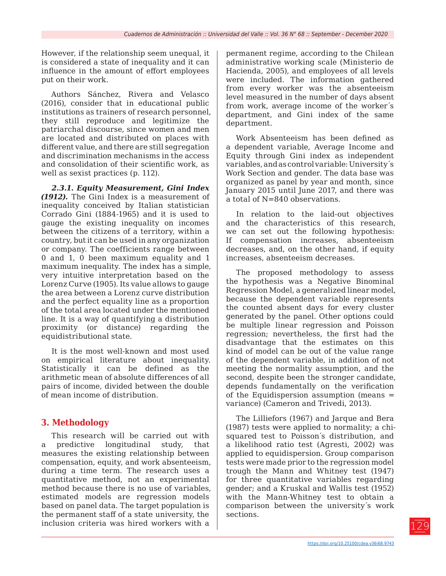However, if the relationship seem unequal, it is considered a state of inequality and it can influence in the amount of effort employees put on their work.

Authors Sánchez, Rivera and Velasco (2016), consider that in educational public institutions as trainers of research personnel, they still reproduce and legitimize the patriarchal discourse, since women and men are located and distributed on places with different value, and there are still segregation and discrimination mechanisms in the access and consolidation of their scientific work, as well as sexist practices (p. 112).

*2.3.1. Equity Measurement, Gini Index (1912).* The Gini Index is a measurement of inequality conceived by Italian statistician Corrado Gini (1884-1965) and it is used to gauge the existing inequality on incomes between the citizens of a territory, within a country, but it can be used in any organization or company. The coefficients range between 0 and 1, 0 been maximum equality and 1 maximum inequality. The index has a simple, very intuitive interpretation based on the Lorenz Curve (1905). Its value allows to gauge the area between a Lorenz curve distribution and the perfect equality line as a proportion of the total area located under the mentioned line. It is a way of quantifying a distribution proximity (or distance) regarding the equidistributional state.

It is the most well-known and most used on empirical literature about inequality. Statistically it can be defined as the arithmetic mean of absolute differences of all pairs of income, divided between the double of mean income of distribution.

# **3. Methodology**

This research will be carried out with a predictive longitudinal study, that measures the existing relationship between compensation, equity, and work absenteeism, during a time term. The research uses a quantitative method, not an experimental method because there is no use of variables, estimated models are regression models based on panel data. The target population is the permanent staff of a state university, the inclusion criteria was hired workers with a

permanent regime, according to the Chilean administrative working scale (Ministerio de Hacienda, 2005), and employees of all levels were included. The information gathered from every worker was the absenteeism level measured in the number of days absent from work, average income of the worker´s department, and Gini index of the same department.

Work Absenteeism has been defined as a dependent variable, Average Income and Equity through Gini index as independent variables, and as control variable: University´s Work Section and gender. The data base was organized as panel by year and month, since January 2015 until June 2017, and there was a total of N=840 observations.

In relation to the laid-out objectives and the characteristics of this research, we can set out the following hypothesis: If compensation increases, absenteeism decreases, and, on the other hand, if equity increases, absenteeism decreases.

The proposed methodology to assess the hypothesis was a Negative Binominal Regression Model, a generalized linear model, because the dependent variable represents the counted absent days for every cluster generated by the panel. Other options could be multiple linear regression and Poisson regression; nevertheless, the first had the disadvantage that the estimates on this kind of model can be out of the value range of the dependent variable, in addition of not meeting the normality assumption, and the second, despite been the stronger candidate, depends fundamentally on the verification of the Equidispersion assumption (means = variance) (Cameron and Trivedi, 2013).

The Lilliefors (1967) and Jarque and Bera (1987) tests were applied to normality; a chisquared test to Poisson´s distribution, and a likelihood ratio test (Agresti, 2002) was applied to equidispersion. Group comparison tests were made prior to the regression model trough the Mann and Whitney test (1947) for three quantitative variables regarding gender; and a Kruskal and Wallis test (1952) with the Mann-Whitney test to obtain a comparison between the university´s work sections.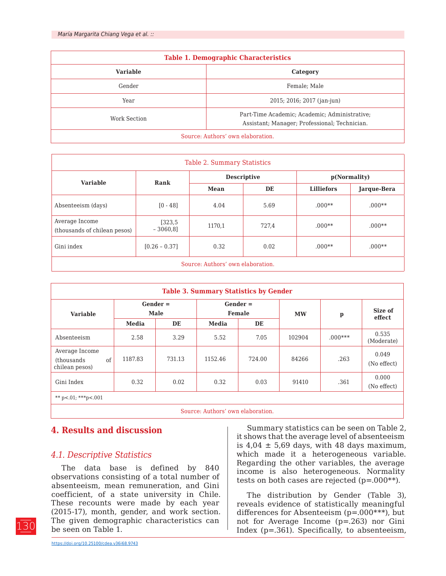| <b>Table 1. Demographic Characteristics</b> |                                                                                                |  |  |  |  |
|---------------------------------------------|------------------------------------------------------------------------------------------------|--|--|--|--|
| <b>Variable</b>                             | Category                                                                                       |  |  |  |  |
| Gender                                      | Female; Male                                                                                   |  |  |  |  |
| Year                                        | 2015; 2016; 2017 (jan-jun)                                                                     |  |  |  |  |
| Work Section                                | Part-Time Academic; Academic; Administrative;<br>Assistant; Manager; Professional; Technician. |  |  |  |  |
| Source: Authors' own elaboration.           |                                                                                                |  |  |  |  |

| <b>Table 2. Summary Statistics</b>             |                        |        |                    |                   |             |  |  |
|------------------------------------------------|------------------------|--------|--------------------|-------------------|-------------|--|--|
| <b>Variable</b>                                | Rank                   |        | <b>Descriptive</b> | p(Normality)      |             |  |  |
|                                                |                        | Mean   | DE                 | <b>Lilliefors</b> | Jarque-Bera |  |  |
| Absenteeism (days)                             | $[0 - 48]$             | 4.04   | 5.69               | $.000**$          | $.000**$    |  |  |
| Average Income<br>(thousands of chilean pesos) | [323,5]<br>$-3060,8$ ] | 1170,1 | 727,4              | $.000**$          | $.000**$    |  |  |
| Gini index                                     | $[0.26 - 0.37]$        | 0.32   | 0.02               | $.000**$          | $.000**$    |  |  |
| Source: Authors' own elaboration.              |                        |        |                    |                   |             |  |  |

| <b>Table 3. Summary Statistics by Gender</b>                     |                    |        |                      |        |           |           |                      |  |
|------------------------------------------------------------------|--------------------|--------|----------------------|--------|-----------|-----------|----------------------|--|
| <b>Variable</b>                                                  | $Gender =$<br>Male |        | $Gender =$<br>Female |        | <b>MW</b> | p         | Size of<br>effect    |  |
|                                                                  | <b>Media</b>       | DE     | Media                | DE     |           |           |                      |  |
| Absenteeism                                                      | 2.58               | 3.29   | 5.52                 | 7.05   | 102904    | $.000***$ | 0.535<br>(Moderate)  |  |
| Average Income<br><sub>of</sub><br>(thousands)<br>chilean pesos) | 1187.83            | 731.13 | 1152.46              | 724.00 | 84266     | .263      | 0.049<br>(No effect) |  |
| Gini Index                                                       | 0.32               | 0.02   | 0.32                 | 0.03   | 91410     | .361      | 0.000<br>(No effect) |  |
| ** $p < .01$ ; *** $p < .001$                                    |                    |        |                      |        |           |           |                      |  |
| Source: Authors' own elaboration.                                |                    |        |                      |        |           |           |                      |  |

# **4. Results and discussion**

#### *4.1. Descriptive Statistics*

The data base is defined by 840 observations consisting of a total number of absenteeism, mean remuneration, and Gini coefficient, of a state university in Chile. These recounts were made by each year (2015-17), month, gender, and work section. The given demographic characteristics can be seen on Table 1.

Summary statistics can be seen on Table 2, it shows that the average level of absenteeism is  $4.04 \pm 5.69$  days, with 48 days maximum, which made it a heterogeneous variable. Regarding the other variables, the average income is also heterogeneous. Normality tests on both cases are rejected (p=.000\*\*).

The distribution by Gender (Table 3), reveals evidence of statistically meaningful differences for Absenteeism (p=.000\*\*\*), but not for Average Income (p=.263) nor Gini Index (p=.361). Specifically, to absenteeism,

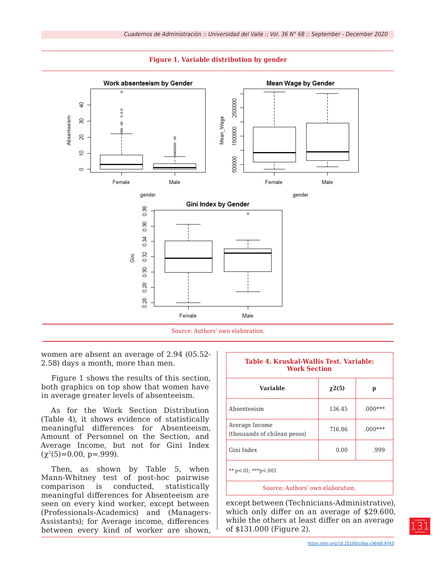

**Figure 1. Variable distribution by gender**

Source: Authors' own elaboration.

women are absent an average of 2.94 (05.52- 2.58) days a month, more than men.

Figure 1 shows the results of this section, both graphics on top show that women have in average greater levels of absenteeism.

As for the Work Section Distribution (Table 4), it shows evidence of statistically meaningful differences for Absenteeism, Amount of Personnel on the Section, and Average Income, but not for Gini Index  $(\chi^2(5)=0.00, p=.999).$ 

Then, as shown by Table 5, when Mann-Whitney test of post-hoc pairwise comparison is conducted, statistically meaningful differences for Absenteeism are seen on every kind worker, except between (Professionals-Academics) and (Managers-Assistants); for Average income, differences between every kind of worker are shown,

| Table 4. Kruskal-Wallis Test. Variable:<br><b>Work Section</b> |        |           |  |  |  |  |  |  |
|----------------------------------------------------------------|--------|-----------|--|--|--|--|--|--|
| Variable<br>$\chi$ 2(5)<br>p                                   |        |           |  |  |  |  |  |  |
| Absenteeism                                                    | 136.45 | $000***$  |  |  |  |  |  |  |
| Average Income<br>(thousands of chilean pesos)                 | 716.86 | $0.00***$ |  |  |  |  |  |  |
| Gini Index                                                     | 0.00   | .999      |  |  |  |  |  |  |
| ** $p < .01$ ; *** $p < .001$                                  |        |           |  |  |  |  |  |  |
| Source: Authors' own elaboration.                              |        |           |  |  |  |  |  |  |

except between (Technicians-Administrative), which only differ on an average of \$29.600, while the others at least differ on an average of \$131.000 (Figure 2).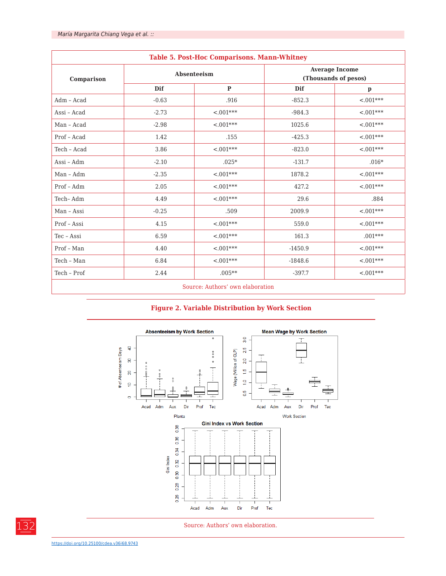| <b>Table 5. Post-Hoc Comparisons. Mann-Whitney</b> |         |              |           |                                               |  |  |
|----------------------------------------------------|---------|--------------|-----------|-----------------------------------------------|--|--|
| Comparison                                         |         | Absenteeism  |           | <b>Average Income</b><br>(Thousands of pesos) |  |  |
|                                                    | Dif     | $\mathbf{P}$ | Dif       | $\mathbf{p}$                                  |  |  |
| Adm - Acad                                         | $-0.63$ | .916         | $-852.3$  | $< .001***$                                   |  |  |
| Assi - Acad                                        | $-2.73$ | $< 0.01***$  | $-984.3$  | $< .001***$                                   |  |  |
| Man - Acad                                         | $-2.98$ | $< 0.01***$  | 1025.6    | $< .001***$                                   |  |  |
| Prof - Acad                                        | 1.42    | .155         | $-425.3$  | $< .001***$                                   |  |  |
| Tech - Acad                                        | 3.86    | $< .001***$  | $-823.0$  | $< 0.01***$                                   |  |  |
| Assi - Adm                                         | $-2.10$ | $.025*$      | $-131.7$  | $.016*$                                       |  |  |
| Man - Adm                                          | $-2.35$ | $< 0.01***$  | 1878.2    | $< 0.01***$                                   |  |  |
| Prof - Adm                                         | 2.05    | $< 0.01***$  | 427.2     | $< 0.01***$                                   |  |  |
| Tech-Adm                                           | 4.49    | $-.001***$   | 29.6      | .884                                          |  |  |
| Man - Assi                                         | $-0.25$ | .509         | 2009.9    | $-.001***$                                    |  |  |
| Prof - Assi                                        | 4.15    | $< 0.01***$  | 559.0     | $< .001***$                                   |  |  |
| Tec - Assi                                         | 6.59    | $< .001***$  | 161.3     | $.001***$                                     |  |  |
| Prof - Man                                         | 4.40    | $< 0.01***$  | $-1450.9$ | $< .001***$                                   |  |  |
| Tech - Man                                         | 6.84    | $< 0.01***$  | $-1848.6$ | $< 0.01***$                                   |  |  |
| Tech - Prof                                        | 2.44    | $.005**$     | $-397.7$  | $< 0.01***$                                   |  |  |
| Source: Authors' own elaboration                   |         |              |           |                                               |  |  |

#### **Figure 2. Variable Distribution by Work Section**





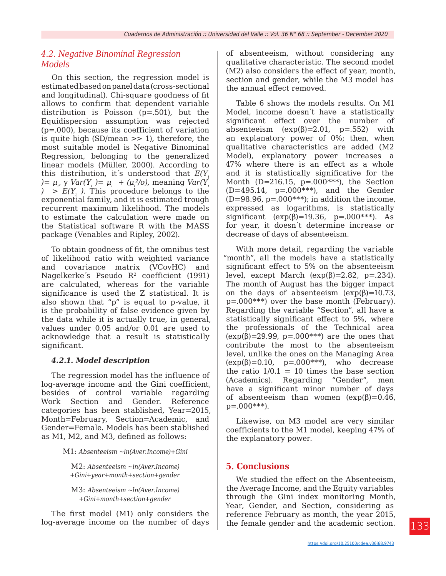#### *4.2. Negative Binominal Regression Models*

On this section, the regression model is estimated based on panel data (cross-sectional and longitudinal). Chi-square goodness of fit allows to confirm that dependent variable distribution is Poisson (p=.501), but the Equidispersion assumption was rejected (p=.000), because its coefficient of variation is quite high (SD/mean >> 1), therefore, the most suitable model is Negative Binominal Regression, belonging to the generalized linear models (Müller, 2000). According to this distribution, it's understood that  $E(Y_i)$ *)*= *μ<sup>i</sup>* , y *Var(Yi )= μ<sup>i</sup> + (μ<sup>i</sup> <sup>2</sup>/σ),* meaning *Var(Yi*  $D \geq E(Y_i)$ . This procedure belongs to the exponential family, and it is estimated trough recurrent maximum likelihood. The models to estimate the calculation were made on the Statistical software R with the MASS package (Venables and Ripley, 2002).

To obtain goodness of fit, the omnibus test of likelihood ratio with weighted variance and covariance matrix (VCovHC) and Nagelkerke´s Pseudo R2 coefficient (1991) are calculated, whereas for the variable significance is used the Z statistical. It is also shown that "p" is equal to p-value, it is the probability of false evidence given by the data while it is actually true, in general, values under 0.05 and/or 0.01 are used to acknowledge that a result is statistically significant.

#### *4.2.1. Model description*

The regression model has the influence of log-average income and the Gini coefficient, besides of control variable regarding Work Section and Gender. Reference categories has been stablished, Year=2015, Month=February, Section=Academic, and Gender=Female. Models has been stablished as M1, M2, and M3, defined as follows:

M1: *Absenteeism ~ln(Aver.Income)+Gini*

M2: *Absenteeism ~ln(Aver.Income) +Gini+year+month+section+gender*

M3: *Absenteeism ~ln(Aver.Income) +Gini+month+section+gender*

The first model (M1) only considers the log-average income on the number of days of absenteeism, without considering any qualitative characteristic. The second model (M2) also considers the effect of year, month, section and gender, while the M3 model has the annual effect removed.

Table 6 shows the models results. On M1 Model, income doesn´t have a statistically significant effect over the number of absenteeism  $(exp(\beta)=2.01, p=.552)$  with an explanatory power of 0%; then, when qualitative characteristics are added (M2 Model), explanatory power increases a 47% where there is an effect as a whole and it is statistically significative for the Month (D=216.15,  $p=.000***$ ), the Section (D=495.14, p=.000\*\*\*), and the Gender  $(D=98.96, p=.000***);$  in addition the income, expressed as logarithms, is statistically significant  $(exp(\beta)=19.36, p=.000***)$ . As for year, it doesn´t determine increase or decrease of days of absenteeism.

With more detail, regarding the variable "month", all the models have a statistically significant effect to 5% on the absenteeism level, except March  $(exp(β)=2.82, p=.234)$ . The month of August has the bigger impact on the days of absenteeism  $(exp(\beta)=10.73)$ , p=.000\*\*\*) over the base month (February). Regarding the variable "Section", all have a statistically significant effect to 5%, where the professionals of the Technical area (exp(β)=29.99, p=.000\*\*\*) are the ones that contribute the most to the absenteeism level, unlike the ones on the Managing Area  $(exp(\beta)=0.10, p=.000***), who decrease$ the ratio  $1/0.1 = 10$  times the base section (Academics). Regarding "Gender", men (Academics). Regarding have a significant minor number of days of absenteeism than women (exp(β)=0.46,  $p=.000***$ ).

Likewise, on M3 model are very similar coefficients to the M1 model, keeping 47% of the explanatory power.

# **5. Conclusions**

We studied the effect on the Absenteeism, the Average Income, and the Equity variables through the Gini index monitoring Month, Year, Gender, and Section, considering as reference February as month, the year 2015, the female gender and the academic section.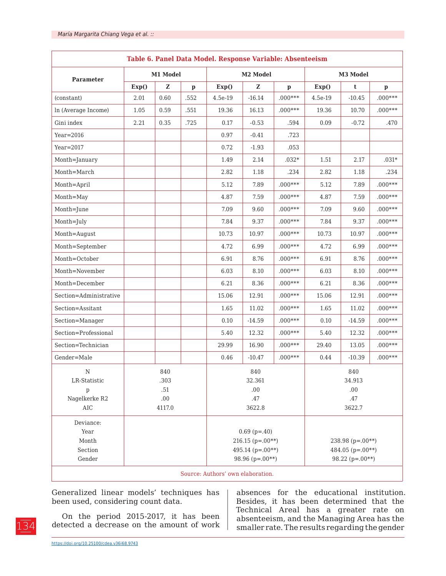| Table 6. Panel Data Model. Response Variable: Absenteeism |                                     |              |                          |                                                                                       |          |                                       |                                                                     |             |              |
|-----------------------------------------------------------|-------------------------------------|--------------|--------------------------|---------------------------------------------------------------------------------------|----------|---------------------------------------|---------------------------------------------------------------------|-------------|--------------|
| Parameter                                                 | M1 Model                            |              |                          | M <sub>2</sub> Model                                                                  |          |                                       | M3 Model                                                            |             |              |
|                                                           | Exp()                               | $\mathbf{z}$ | $\mathbf{p}$             | Exp()                                                                                 | Z        | $\mathbf{p}$                          | Exp()                                                               | $\mathbf t$ | $\mathbf{p}$ |
| (constant)                                                | 2.01                                | 0.60         | .552                     | 4.5e-19                                                                               | $-16.14$ | $.000***$                             | 4.5e-19                                                             | $-10.45$    | $.000***$    |
| In (Average Income)                                       | 1.05                                | 0.59         | .551                     | 19.36                                                                                 | 16.13    | $.000***$                             | 19.36                                                               | 10.70       | $.000***$    |
| Gini index                                                | 2.21                                | 0.35         | .725                     | 0.17                                                                                  | $-0.53$  | .594                                  | 0.09                                                                | $-0.72$     | .470         |
| $Year=2016$                                               |                                     |              |                          | 0.97                                                                                  | $-0.41$  | .723                                  |                                                                     |             |              |
| $Year=2017$                                               |                                     |              |                          | 0.72                                                                                  | $-1.93$  | .053                                  |                                                                     |             |              |
| Month=January                                             |                                     |              |                          | 1.49                                                                                  | 2.14     | $.032*$                               | 1.51                                                                | 2.17        | $.031*$      |
| Month=March                                               |                                     |              |                          | 2.82                                                                                  | 1.18     | .234                                  | 2.82                                                                | 1.18        | .234         |
| Month=April                                               |                                     |              |                          | 5.12                                                                                  | 7.89     | $.000***$                             | 5.12                                                                | 7.89        | $.000***$    |
| Month=May                                                 |                                     |              |                          | 4.87                                                                                  | 7.59     | $.000***$                             | 4.87                                                                | 7.59        | $.000***$    |
| Month=June                                                |                                     |              |                          | 7.09                                                                                  | 9.60     | $.000***$                             | 7.09                                                                | 9.60        | $.000***$    |
| Month=July                                                |                                     |              |                          | 7.84                                                                                  | 9.37     | $.000***$                             | 7.84                                                                | 9.37        | $.000***$    |
| Month=August                                              |                                     |              |                          | 10.73                                                                                 | 10.97    | $.000***$                             | 10.73                                                               | 10.97       | $.000***$    |
| Month=September                                           |                                     |              |                          | 4.72                                                                                  | 6.99     | $.000***$                             | 4.72                                                                | 6.99        | $.000***$    |
| Month=October                                             |                                     |              |                          | 6.91                                                                                  | 8.76     | $000***$                              | 6.91                                                                | 8.76        | $.000***$    |
| Month=November                                            |                                     |              |                          | 6.03                                                                                  | 8.10     | $.000***$                             | 6.03                                                                | 8.10        | $.000***$    |
| Month=December                                            |                                     |              |                          | 6.21                                                                                  | 8.36     | $.000***$                             | 6.21                                                                | 8.36        | $.000***$    |
| Section=Administrative                                    |                                     |              |                          | 15.06                                                                                 | 12.91    | $.000***$                             | 15.06                                                               | 12.91       | $.000***$    |
| Section=Assitant                                          |                                     |              |                          | 1.65                                                                                  | 11.02    | $.000***$                             | 1.65                                                                | 11.02       | $.000***$    |
| Section=Manager                                           |                                     |              |                          | 0.10                                                                                  | $-14.59$ | $.000***$                             | 0.10                                                                | $-14.59$    | $.000***$    |
| Section=Professional                                      |                                     |              |                          | 5.40                                                                                  | 12.32    | $000***$                              | 5.40                                                                | 12.32       | $.000***$    |
| Section=Technician                                        |                                     |              |                          | 29.99                                                                                 | 16.90    | $.000***$                             | 29.40                                                               | 13.05       | $.000***$    |
| Gender=Male                                               |                                     |              |                          | 0.46                                                                                  | $-10.47$ | $.000***$                             | 0.44                                                                | $-10.39$    | $.000***$    |
| $\mathbf N$<br>LR-Statistic<br>p<br>Nagelkerke R2<br>AIC  | 840<br>.303<br>.51<br>.00<br>4117.0 |              |                          | 840<br>32.361<br>.00.<br>.47<br>3622.8                                                |          | 840<br>34.913<br>.00<br>.47<br>3622.7 |                                                                     |             |              |
| Deviance:<br>Year<br>Month<br>Section<br>Gender           |                                     |              | Authors' own alaboration | $0.69$ (p=.40)<br>216.15 ( $p=.00**$ )<br>495.14 ( $p=.00**$ )<br>98.96 ( $p=.00**$ ) |          |                                       | 238.98 ( $p=.00**$ )<br>484.05 ( $p=.00**$ )<br>98.22 ( $p=.00**$ ) |             |              |

Source: Authors' own elaboration.

Generalized linear models' techniques has been used, considering count data.

On the period 2015-2017, it has been detected a decrease on the amount of work

absences for the educational institution. Besides, it has been determined that the Technical Areal has a greater rate on absenteeism, and the Managing Area has the smaller rate. The results regarding the gender

134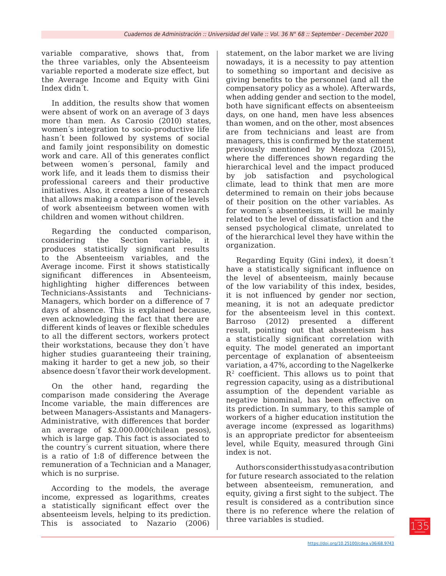variable comparative, shows that, from the three variables, only the Absenteeism variable reported a moderate size effect, but the Average Income and Equity with Gini Index didn´t.

In addition, the results show that women were absent of work on an average of 3 days more than men. As Carosio (2010) states, women´s integration to socio-productive life hasn´t been followed by systems of social and family joint responsibility on domestic work and care. All of this generates conflict between women´s personal, family and work life, and it leads them to dismiss their professional careers and their productive initiatives. Also, it creates a line of research that allows making a comparison of the levels of work absenteeism between women with children and women without children.

Regarding the conducted comparison, considering the Section variable, it produces statistically significant results to the Absenteeism variables, and the Average income. First it shows statistically significant differences in Absenteeism, highlighting higher differences between Technicians-Assistants and Technicians-Managers, which border on a difference of 7 days of absence. This is explained because, even acknowledging the fact that there are different kinds of leaves or flexible schedules to all the different sectors, workers protect their workstations, because they don´t have higher studies guaranteeing their training, making it harder to get a new job, so their absence doesn´t favor their work development.

On the other hand, regarding the comparison made considering the Average Income variable, the main differences are between Managers-Assistants and Managers-Administrative, with differences that border an average of \$2.000.000(chilean pesos), which is large gap. This fact is associated to the country´s current situation, where there is a ratio of 1:8 of difference between the remuneration of a Technician and a Manager, which is no surprise.

According to the models, the average income, expressed as logarithms, creates a statistically significant effect over the absenteeism levels, helping to its prediction. This is associated to Nazario (2006)

statement, on the labor market we are living nowadays, it is a necessity to pay attention to something so important and decisive as giving benefits to the personnel (and all the compensatory policy as a whole). Afterwards, when adding gender and section to the model, both have significant effects on absenteeism days, on one hand, men have less absences than women, and on the other, most absences are from technicians and least are from managers, this is confirmed by the statement previously mentioned by Mendoza (2015), where the differences shown regarding the hierarchical level and the impact produced by job satisfaction and psychological climate, lead to think that men are more determined to remain on their jobs because of their position on the other variables. As for women´s absenteeism, it will be mainly related to the level of dissatisfaction and the sensed psychological climate, unrelated to of the hierarchical level they have within the organization.

Regarding Equity (Gini index), it doesn´t have a statistically significant influence on the level of absenteeism, mainly because of the low variability of this index, besides, it is not influenced by gender nor section, meaning, it is not an adequate predictor for the absenteeism level in this context. Barroso (2012) presented a different result, pointing out that absenteeism has a statistically significant correlation with equity. The model generated an important percentage of explanation of absenteeism variation, a 47%, according to the Nagelkerke  $R<sup>2</sup>$  coefficient. This allows us to point that regression capacity, using as a distributional assumption of the dependent variable as negative binominal, has been effective on its prediction. In summary, to this sample of workers of a higher education institution the average income (expressed as logarithms) is an appropriate predictor for absenteeism level, while Equity, measured through Gini index is not.

Authors consider this study as a contribution for future research associated to the relation between absenteeism, remuneration, and equity, giving a first sight to the subject. The result is considered as a contribution since there is no reference where the relation of three variables is studied.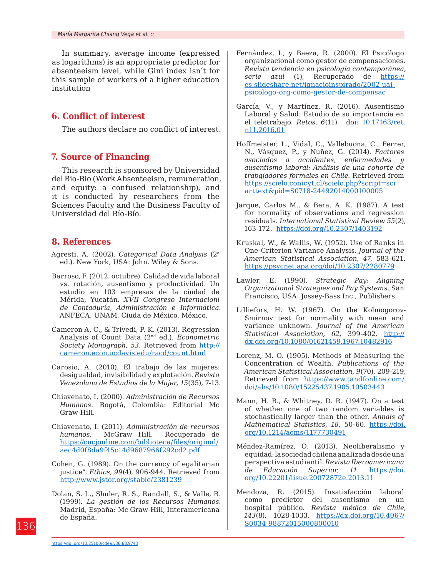In summary, average income (expressed as logarithms) is an appropriate predictor for absenteeism level, while Gini index isn´t for this sample of workers of a higher education institution

# **6. Conflict of interest**

The authors declare no conflict of interest.

# **7. Source of Financing**

This research is sponsored by Universidad del Bio-Bio (Work Absenteeism, remuneration, and equity: a confused relationship), and it is conducted by researchers from the Sciences Faculty and the Business Faculty of Universidad del Bío-Bío.

# **8. References**

- Agresti, A. (2002). *Categorical Data Analysis* (2a ed.). New York, USA: John. Wiley & Sons.
- Barroso, F. (2012, octubre). Calidad de vida laboral vs. rotación, ausentismo y productividad. Un estudio en 103 empresas de la ciudad de Mérida, Yucatán. *XVII Congreso Internacionl de Contaduría, Administración e Informática.* ANFECA, UNAM, Ciuda de México, México.
- Cameron A. C., & Trivedi, P. K. (2013). Regression Analysis of Count Data (2nd ed.). *Econometric Society Monograph, 53*. Retrieved from [http://](http://cameron.econ.ucdavis.edu/racd/count.html) [cameron.econ.ucdavis.edu/racd/count.html](http://cameron.econ.ucdavis.edu/racd/count.html)
- Carosio, A. (2010). El trabajo de las mujeres: desigualdad, invisibilidad y explotación. *Revista Venezolana de Estudios de la Mujer, 15*(35), 7-13.
- Chiavenato, I. (2000). *Administración de Recursos Humanos.* Bogotá, Colombia: Editorial Mc Graw-Hill.
- Chiavenato, I. (2011). *Administración de recursos humanos*. McGraw Hill. Recuperado de [https://cucjonline.com/biblioteca/files/original/](https://cucjonline.com/biblioteca/files/original/aec4d0f8da9f45c14d9687966f292cd2.pdf) [aec4d0f8da9f45c14d9687966f292cd2.pdf](https://cucjonline.com/biblioteca/files/original/aec4d0f8da9f45c14d9687966f292cd2.pdf)
- Cohen, G. (1989). On the currency of egalitarian justice". *Ethics, 99*(4), 906-944. Retrieved from <http://www.jstor.org/stable/2381239>
- Dolan, S. L., Shuler, R. S., Randall, S., & Valle, R. (1999). *La gestión de los Recursos Humanos.* Madrid, España: Mc Graw-Hill, Interamericana de España.
- Fernández, I., y Baeza, R. (2000). El Psicólogo organizacional como gestor de compensaciones. *Revista tendencia en psicología contemporánea, serie azul* (1), Recuperado de [https://](https://es.slideshare.net/ignacioinspirado/2002-uai-psicologo-org-como-gestor-de-compensac) [es.slideshare.net/ignacioinspirado/2002-uai](https://es.slideshare.net/ignacioinspirado/2002-uai-psicologo-org-como-gestor-de-compensac)[psicologo-org-como-gestor-de-compensac](https://es.slideshare.net/ignacioinspirado/2002-uai-psicologo-org-como-gestor-de-compensac)
- García, V., y Martínez, R. (2016). Ausentismo Laboral y Salud: Estudio de su importancia en el teletrabajo. *Retos, 6*(11). doi: [10.17163/ret.](https://revistas.ups.edu.ec/index.php/retos/issue/view/11) [n11.2016.01](https://revistas.ups.edu.ec/index.php/retos/issue/view/11)
- Hoffmeister, L., Vidal, C., Vallebuona, C., Ferrer, N., Vásquez, P., y Nuñez, G. (2014). *Factores asociados a accidentes, enfermedades y ausentismo laboral: Análisis de una cohorte de trabajadores formales en Chile.* Retrieved from [https://scielo.conicyt.cl/scielo.php?script=sci\\_](https://scielo.conicyt.cl/scielo.php?script=sci_arttext&pid=S0718-24492014000100005) [arttext&pid=S0718-24492014000100005](https://scielo.conicyt.cl/scielo.php?script=sci_arttext&pid=S0718-24492014000100005)
- Jarque, Carlos M., & Bera, A. K. (1987). A test for normality of observations and regression residuals. *International Statistical Review 55*(2), 163-172. <https://doi.org/10.2307/1403192>
- Kruskal, W., & Wallis, W. (1952). Use of Ranks in One-Criterion Variance Analysis. *Journal of the American Statistical Association, 47*, 583-621. <https://psycnet.apa.org/doi/10.2307/2280779>
- Lawler, E. (1990). *Strategic Pay: Aligning Organizational Strategies and Pay Systems*. San Francisco, USA: Jossey-Bass Inc., Publishers.
- Lilliefors, H. W. (1967). On the Kolmogorov-Smirnov test for normality with mean and variance unknown. *Journal of the American Statistical Association, 62*, 399-402. [http://](http://dx.doi.org/10.1080/01621459.1967.10482916) [dx.doi.org/10.1080/01621459.1967.10482916](http://dx.doi.org/10.1080/01621459.1967.10482916)
- Lorenz, M. O. (1905). Methods of Measuring the Concentration of Wealth. *Publications of the American Statistical Association, 9*(70), 209-219, Retrieved from [https://www.tandfonline.com/](https://www.tandfonline.com/doi/abs/10.1080/15225437.1905.10503443) [doi/abs/10.1080/15225437.1905.10503443](https://www.tandfonline.com/doi/abs/10.1080/15225437.1905.10503443)
- Mann, H. B., & Whitney, D. R. (1947). On a test of whether one of two random variables is stochastically larger than the other. *Annals of Mathematical Statistics, 18*, 50-60. [https://doi.](https://doi.org/10.1214/aoms/1177730491) [org/10.1214/aoms/1177730491](https://doi.org/10.1214/aoms/1177730491)
- Méndez-Ramírez, O. (2013). Neoliberalismo y equidad: la sociedad chilena analizada desde una perspectiva estudiantil. *Revista Iberoamericana de Educación Superior, 11*. [https://doi.](https://doi.org/10.22201/iisue.20072872e.2013.11) [org/10.22201/iisue.20072872e.2013.11](https://doi.org/10.22201/iisue.20072872e.2013.11)
- Mendoza, R. (2015). Insatisfacción laboral como predictor del ausentismo en un hospital público. *Revista médica de Chile, 143*(8), 1028-1033. [https://dx.doi.org/10.4067/](https://dx.doi.org/10.4067/S0034-98872015000800010) [S0034-98872015000800010](https://dx.doi.org/10.4067/S0034-98872015000800010)